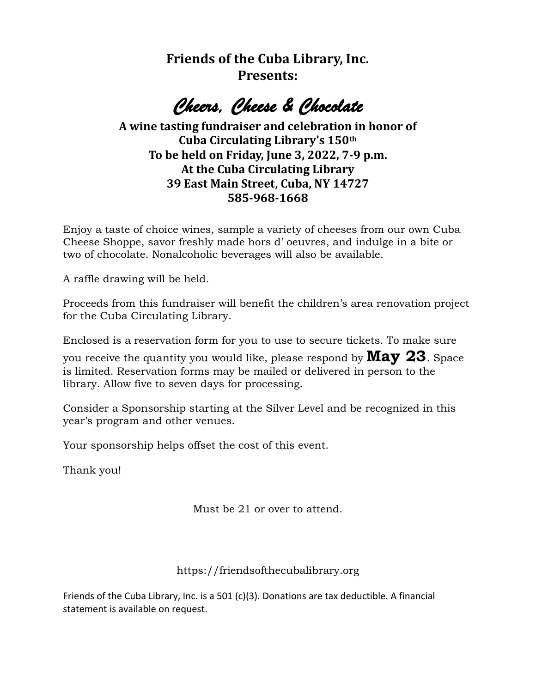**Friends of the Cuba Library, Inc. Presents:**

*Cheers, Cheese & Chocolate* 

## **A wine tasting fundraiser and celebration in honor of Cuba Circulating Library's 150th To be held on Friday, June 3, 2022, 7-9 p.m. At the Cuba Circulating Library 39 East Main Street, Cuba, NY 14727 585-968-1668**

Enjoy a taste of choice wines, sample a variety of cheeses from our own Cuba Cheese Shoppe, savor freshly made hors d' oeuvres, and indulge in a bite or two of chocolate. Nonalcoholic beverages will also be available.

A raffle drawing will be held.

Proceeds from this fundraiser will benefit the children's area renovation project for the Cuba Circulating Library.

Enclosed is a reservation form for you to use to secure tickets. To make sure

you receive the quantity you would like, please respond by **May 23**. Space is limited. Reservation forms may be mailed or delivered in person to the library. Allow five to seven days for processing.

Consider a Sponsorship starting at the Silver Level and be recognized in this year's program and other venues.

Your sponsorship helps offset the cost of this event.

Thank you!

Must be 21 or over to attend.

https://friendsofthecubalibrary.org

Friends of the Cuba Library, Inc. is a 501 (c)(3). Donations are tax deductible. A financial statement is available on request.